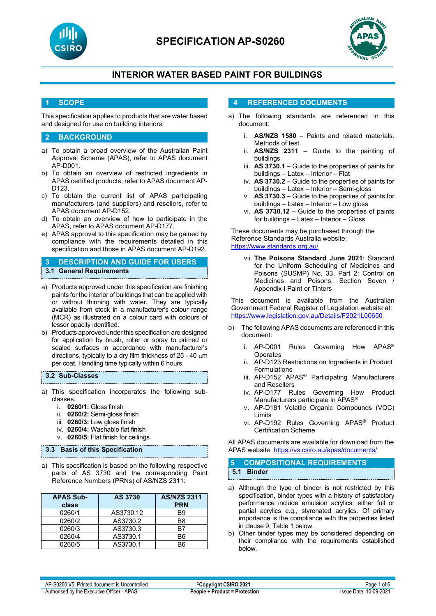

# **SPECIFICATION AP-S0260**



## **INTERIOR WATER BASED PAINT FOR BUILDINGS**

### **1 SCOPE**

This specification applies to products that are water based and designed for use on building interiors.

### **2 BACKGROUND**

- a) To obtain a broad overview of the Australian Paint Approval Scheme (APAS), refer to APAS document AP-D001.
- b) To obtain an overview of restricted ingredients in APAS certified products, refer to APAS document AP-D123.
- c) To obtain the current list of APAS participating manufacturers (and suppliers) and resellers, refer to APAS document AP-D152.
- d) To obtain an overview of how to participate in the APAS, refer to APAS document AP-D177.
- e) APAS approval to this specification may be gained by compliance with the requirements detailed in this specification and those in APAS document AP-D192.

### **3 DESCRIPTION AND GUIDE FOR USERS 3.1 General Requirements**

- a) Products approved under this specification are finishing paints for the interior of buildings that can be applied with or without thinning with water. They are typically available from stock in a manufacturer's colour range (MCR) as illustrated on a colour card with colours of lesser opacity identified.
- b) Products approved under this specification are designed for application by brush, roller or spray to primed or sealed surfaces in accordance with manufacturer's directions, typically to a dry film thickness of 25 - 40 µm per coat. Handling time typically within 6 hours.

#### **3.2 Sub-Classes**

- a) This specification incorporates the following subclasses:
	- i. **0260/1:** Gloss finish
	- ii. **0260/2:** Semi-gloss finish
	- iii. **0260/3:** Low gloss finish
	- iv. **0260/4:** Washable flat finish
	- v. **0260/5:** Flat finish for ceilings

#### **3.3 Basis of this Specification**

a) This specification is based on the following respective parts of AS 3730 and the corresponding Paint Reference Numbers (PRNs) of AS/NZS 2311:

| <b>APAS Sub-</b><br>class | <b>AS 3730</b> | <b>AS/NZS 2311</b><br><b>PRN</b> |
|---------------------------|----------------|----------------------------------|
| 0260/1                    | AS3730.12      | <b>B</b> 9                       |
| 0260/2                    | AS3730.2       | B8                               |
| 0260/3                    | AS3730.3       | B7                               |
| 0260/4                    | AS3730.1       | B6                               |
| 0260/5                    | AS3730.1       | Rĥ                               |

### **4 REFERENCED DOCUMENTS**

- a) The following standards are referenced in this document:
	- i. **AS/NZS 1580** Paints and related materials: Methods of test
	- ii. **AS/NZS 2311**  Guide to the painting of buildings
	- iii. **AS 3730.1** Guide to the properties of paints for buildings – Latex – Interior – Flat
	- iv. **AS 3730.2** Guide to the properties of paints for buildings – Latex – Interior – Semi-gloss
	- v. **AS 3730.3** Guide to the properties of paints for buildings – Latex – Interior – Low gloss
	- vi. **AS 3730.12** Guide to the properties of paints for buildings – Latex – Interior – Gloss

These documents may be purchased through the Reference Standards Australia website: <https://www.standards.org.au/>

vii. **The Poisons Standard June 2021**: Standard for the Uniform Scheduling of Medicines and Poisons (SUSMP) No. 33, Part 2: Control on Medicines and Poisons, Section Seven / Appendix I Paint or Tinters

This document is available from the Australian Government Federal Register of Legislation website at: <https://www.legislation.gov.au/Details/F2021L00650>

- b) The following APAS documents are referenced in this document:
	- i. AP-D001 Rules Governing How APAS® **Operates**
	- ii. AP-D123 Restrictions on Ingredients in Product Formulations
	- iii. AP-D152 APAS® Participating Manufacturers and Resellers
	- iv. AP-D177 Rules Governing How Product Manufacturers participate in APAS®
	- v. AP-D181 Volatile Organic Compounds (VOC) Limits
	- vi. AP-D192 Rules Governing APAS® Product Certification Scheme

All APAS documents are available for download from the APAS website: <https://vs.csiro.au/apas/documents/>

### **5 COMPOSITIONAL REQUIREMENTS 5.1 Binder**

- a) Although the type of binder is not restricted by this specification, binder types with a history of satisfactory performance include emulsion acrylics, either full or partial acrylics e.g., styrenated acrylics. Of primary importance is the compliance with the properties listed in clause 9, Table 1 below.
- b) Other binder types may be considered depending on their compliance with the requirements established below.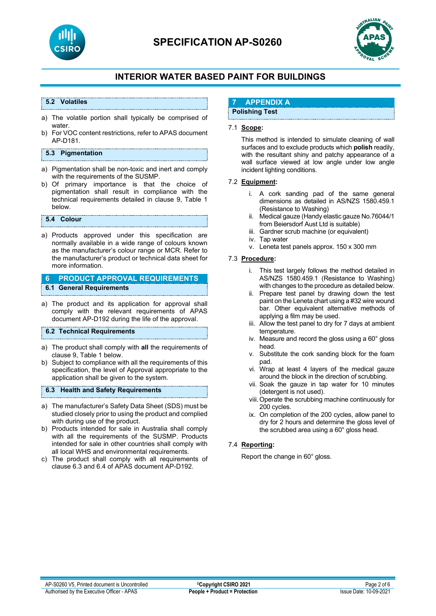

# **SPECIFICATION AP-S0260**



## **INTERIOR WATER BASED PAINT FOR BUILDINGS**

#### **5.2 Volatiles**

- a) The volatile portion shall typically be comprised of water.
- b) For VOC content restrictions, refer to APAS document AP-D181.

#### **5.3 Pigmentation**

- a) Pigmentation shall be non-toxic and inert and comply with the requirements of the SUSMP.
- b) Of primary importance is that the choice of pigmentation shall result in compliance with the technical requirements detailed in clause 9, Table 1 below.

#### **5.4 Colour**

a) Products approved under this specification are normally available in a wide range of colours known as the manufacturer's colour range or MCR. Refer to the manufacturer's product or technical data sheet for more information.

#### **6 PRODUCT APPROVAL REQUIREMENTS 6.1 General Requirements**

a) The product and its application for approval shall comply with the relevant requirements of APAS document AP-D192 during the life of the approval.

#### **6.2 Technical Requirements**

- a) The product shall comply with **all** the requirements of clause 9, Table 1 below.
- b) Subject to compliance with all the requirements of this specification, the level of Approval appropriate to the application shall be given to the system.

#### **6.3 Health and Safety Requirements**

- a) The manufacturer's Safety Data Sheet (SDS) must be studied closely prior to using the product and complied with during use of the product.
- b) Products intended for sale in Australia shall comply with all the requirements of the SUSMP. Products intended for sale in other countries shall comply with all local WHS and environmental requirements.
- c) The product shall comply with all requirements of clause 6.3 and 6.4 of APAS document AP-D192.

## **7 APPENDIX A**

## **Polishing Test**

#### 7.1 **Scope:**

This method is intended to simulate cleaning of wall surfaces and to exclude products which **polish** readily, with the resultant shiny and patchy appearance of a wall surface viewed at low angle under low angle incident lighting conditions.

#### 7.2 **Equipment:**

- i. A cork sanding pad of the same general dimensions as detailed in AS/NZS 1580.459.1 (Resistance to Washing)
- ii. Medical gauze (Handy elastic gauze No.76044/1 from Beiersdorf Aust Ltd is suitable)
- iii. Gardner scrub machine (or equivalent)
- iv. Tap water
- v. Leneta test panels approx. 150 x 300 mm

#### 7.3 **Procedure:**

- i. This test largely follows the method detailed in AS/NZS 1580.459.1 (Resistance to Washing) with changes to the procedure as detailed below.
- ii. Prepare test panel by drawing down the test paint on the Leneta chart using a #32 wire wound bar. Other equivalent alternative methods of applying a film may be used.
- iii. Allow the test panel to dry for 7 days at ambient temperature.
- iv. Measure and record the gloss using a 60° gloss head.
- v. Substitute the cork sanding block for the foam pad.
- vi. Wrap at least 4 layers of the medical gauze around the block in the direction of scrubbing.
- vii. Soak the gauze in tap water for 10 minutes (detergent is not used).
- viii.Operate the scrubbing machine continuously for 200 cycles.
- ix. On completion of the 200 cycles, allow panel to dry for 2 hours and determine the gloss level of the scrubbed area using a 60° gloss head.

#### 7.4 **Reporting:**

Report the change in 60° gloss.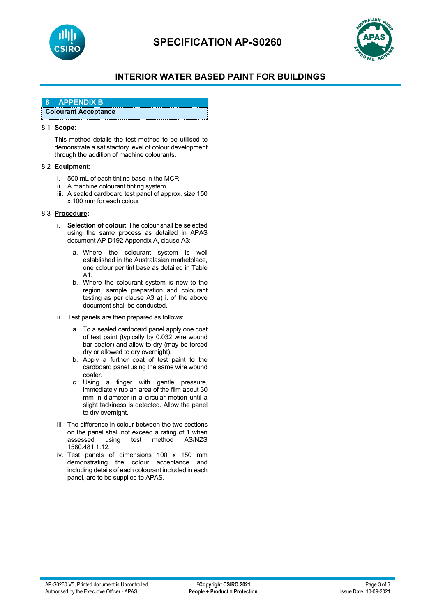



## **INTERIOR WATER BASED PAINT FOR BUILDINGS**

### **8 APPENDIX B**

### **Colourant Acceptance**

#### 8.1 **Scope:**

This method details the test method to be utilised to demonstrate a satisfactory level of colour development through the addition of machine colourants.

#### 8.2 **Equipment:**

- i. 500 mL of each tinting base in the MCR
- ii. A machine colourant tinting system
- iii. A sealed cardboard test panel of approx. size 150 x 100 mm for each colour

#### 8.3 **Procedure:**

- i. **Selection of colour:** The colour shall be selected using the same process as detailed in APAS document AP-D192 Appendix A, clause A3:
	- a. Where the colourant system is well established in the Australasian marketplace, one colour per tint base as detailed in Table A1.
	- b. Where the colourant system is new to the region, sample preparation and colourant testing as per clause A3 a) i. of the above document shall be conducted.
- ii. Test panels are then prepared as follows:
	- a. To a sealed cardboard panel apply one coat of test paint (typically by 0.032 wire wound bar coater) and allow to dry (may be forced dry or allowed to dry overnight).
	- b. Apply a further coat of test paint to the cardboard panel using the same wire wound coater.
	- c. Using a finger with gentle pressure, immediately rub an area of the film about 30 mm in diameter in a circular motion until a slight tackiness is detected. Allow the panel to dry overnight.
- iii. The difference in colour between the two sections on the panel shall not exceed a rating of 1 when<br>assessed using test method AS/NZS using test method 1580.481.1.12.
- iv. Test panels of dimensions 100 x 150 mm demonstrating the colour acceptance and including details of each colourant included in each panel, are to be supplied to APAS.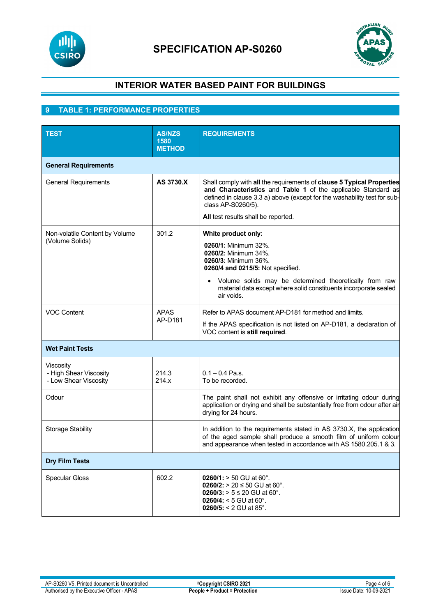



## **INTERIOR WATER BASED PAINT FOR BUILDINGS**

## **9 TABLE 1: PERFORMANCE PROPERTIES**

| <b>TEST</b>                                                  | <b>AS/NZS</b><br>1580  | <b>REQUIREMENTS</b>                                                                                                                                                                                                                      |  |  |
|--------------------------------------------------------------|------------------------|------------------------------------------------------------------------------------------------------------------------------------------------------------------------------------------------------------------------------------------|--|--|
|                                                              | <b>METHOD</b>          |                                                                                                                                                                                                                                          |  |  |
| <b>General Requirements</b>                                  |                        |                                                                                                                                                                                                                                          |  |  |
| <b>General Requirements</b>                                  | AS 3730.X              | Shall comply with all the requirements of clause 5 Typical Properties<br>and Characteristics and Table 1 of the applicable Standard as<br>defined in clause 3.3 a) above (except for the washability test for sub-<br>class AP-S0260/5). |  |  |
|                                                              |                        | All test results shall be reported.                                                                                                                                                                                                      |  |  |
| Non-volatile Content by Volume<br>(Volume Solids)            | 301.2                  | White product only:<br>0260/1: Minimum 32%.<br>0260/2: Minimum 34%.<br>0260/3: Minimum 36%.<br>0260/4 and 0215/5: Not specified.                                                                                                         |  |  |
|                                                              |                        | Volume solids may be determined theoretically from raw<br>material data except where solid constituents incorporate sealed<br>air voids.                                                                                                 |  |  |
| <b>VOC Content</b>                                           | <b>APAS</b><br>AP-D181 | Refer to APAS document AP-D181 for method and limits.<br>If the APAS specification is not listed on AP-D181, a declaration of<br>VOC content is still required.                                                                          |  |  |
| <b>Wet Paint Tests</b>                                       |                        |                                                                                                                                                                                                                                          |  |  |
| Viscosity<br>- High Shear Viscosity<br>- Low Shear Viscosity | 214.3<br>214.x         | $0.1 - 0.4$ Pa.s.<br>To be recorded.                                                                                                                                                                                                     |  |  |
| Odour                                                        |                        | The paint shall not exhibit any offensive or irritating odour during<br>application or drying and shall be substantially free from odour after air<br>drying for 24 hours.                                                               |  |  |
| <b>Storage Stability</b>                                     |                        | In addition to the requirements stated in AS 3730.X, the application<br>of the aged sample shall produce a smooth film of uniform colour<br>and appearance when tested in accordance with AS 1580.205.1 & 3.                             |  |  |
| <b>Dry Film Tests</b>                                        |                        |                                                                                                                                                                                                                                          |  |  |
| <b>Specular Gloss</b>                                        | 602.2                  | $0260/1$ : > 50 GU at 60°.<br>0260/2: > 20 ≤ 50 GU at 60°.<br>0260/3: > $5 ≤ 20$ GU at 60°.<br>0260/4: < 5 GU at $60^{\circ}$ .<br>0260/5: $<$ 2 GU at 85 $^{\circ}$ .                                                                   |  |  |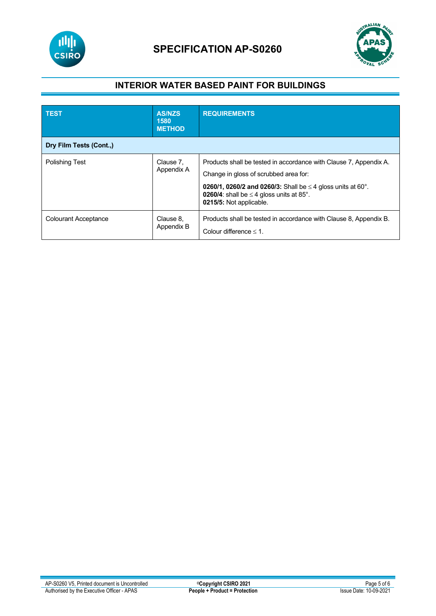

# **SPECIFICATION AP-S0260**



## **INTERIOR WATER BASED PAINT FOR BUILDINGS**

| <b>TEST</b>                 | <b>AS/NZS</b><br>1580<br><b>METHOD</b> | <b>REQUIREMENTS</b>                                                                                                                                                                                                                                                      |
|-----------------------------|----------------------------------------|--------------------------------------------------------------------------------------------------------------------------------------------------------------------------------------------------------------------------------------------------------------------------|
| Dry Film Tests (Cont.,)     |                                        |                                                                                                                                                                                                                                                                          |
| <b>Polishing Test</b>       | Clause 7,<br>Appendix A                | Products shall be tested in accordance with Clause 7, Appendix A.<br>Change in gloss of scrubbed area for:<br><b>0260/1, 0260/2 and 0260/3:</b> Shall be $\leq$ 4 gloss units at 60°.<br><b>0260/4:</b> shall be $\leq$ 4 gloss units at 85°.<br>0215/5: Not applicable. |
| <b>Colourant Acceptance</b> | Clause 8,<br>Appendix B                | Products shall be tested in accordance with Clause 8, Appendix B.<br>Colour difference $\leq 1$ .                                                                                                                                                                        |